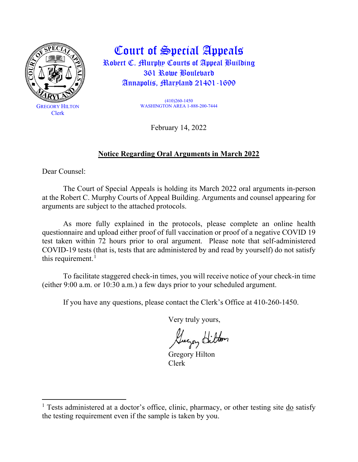

Court of Special Appeals Robert C. Murphy Courts of Appeal Building 361 Rowe Boulevard Annapolis, Maryland 21401-1699

> (410)260-1450 WASHINGTON AREA 1-888-200-7444

> > February 14, 2022

### **Notice Regarding Oral Arguments in March 2022**

Dear Counsel:

The Court of Special Appeals is holding its March 2022 oral arguments in-person at the Robert C. Murphy Courts of Appeal Building. Arguments and counsel appearing for arguments are subject to the attached protocols.

As more fully explained in the protocols, please complete an online health questionnaire and upload either proof of full vaccination or proof of a negative COVID 19 test taken within 72 hours prior to oral argument. Please note that self-administered COVID-19 tests (that is, tests that are administered by and read by yourself) do not satisfy this requirement. $<sup>1</sup>$  $<sup>1</sup>$  $<sup>1</sup>$ </sup>

To facilitate staggered check-in times, you will receive notice of your check-in time (either 9:00 a.m. or 10:30 a.m.) a few days prior to your scheduled argument.

If you have any questions, please contact the Clerk's Office at 410-260-1450.

Very truly yours,

Guyay Hilton

Gregory Hilton Clerk

<span id="page-0-0"></span><sup>&</sup>lt;sup>1</sup> Tests administered at a doctor's office, clinic, pharmacy, or other testing site  $\frac{d\omega}{d\omega}$  satisfy the testing requirement even if the sample is taken by you.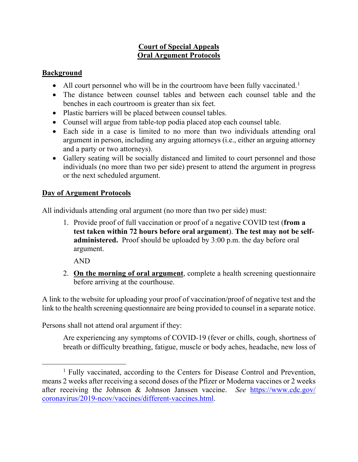### **Court of Special Appeals Oral Argument Protocols**

### **Background**

- All court personnel who will be in the courtroom have been fully vaccinated.<sup>[1](#page-1-0)</sup>
- The distance between counsel tables and between each counsel table and the benches in each courtroom is greater than six feet.
- Plastic barriers will be placed between counsel tables.
- Counsel will argue from table-top podia placed atop each counsel table.
- Each side in a case is limited to no more than two individuals attending oral argument in person, including any arguing attorneys (i.e., either an arguing attorney and a party or two attorneys).
- Gallery seating will be socially distanced and limited to court personnel and those individuals (no more than two per side) present to attend the argument in progress or the next scheduled argument.

# **Day of Argument Protocols**

All individuals attending oral argument (no more than two per side) must:

1. Provide proof of full vaccination or proof of a negative COVID test (**from a test taken within 72 hours before oral argument**). **The test may not be selfadministered.** Proof should be uploaded by 3:00 p.m. the day before oral argument.

AND

2. **On the morning of oral argument**, complete a health screening questionnaire before arriving at the courthouse.

A link to the website for uploading your proof of vaccination/proof of negative test and the link to the health screening questionnaire are being provided to counsel in a separate notice.

Persons shall not attend oral argument if they:

Are experiencing any symptoms of COVID-19 (fever or chills, cough, shortness of breath or difficulty breathing, fatigue, muscle or body aches, headache, new loss of

<span id="page-1-0"></span><sup>&</sup>lt;sup>1</sup> Fully vaccinated, according to the Centers for Disease Control and Prevention, means 2 weeks after receiving a second doses of the Pfizer or Moderna vaccines or 2 weeks after receiving the Johnson & Johnson Janssen vaccine. *See* [https://www.cdc.gov/](https://www.cdc.gov/coronavirus/2019-ncov/vaccines/different-vaccines.html) [coronavirus/2019-ncov/vaccines/different-vaccines.html.](https://www.cdc.gov/coronavirus/2019-ncov/vaccines/different-vaccines.html)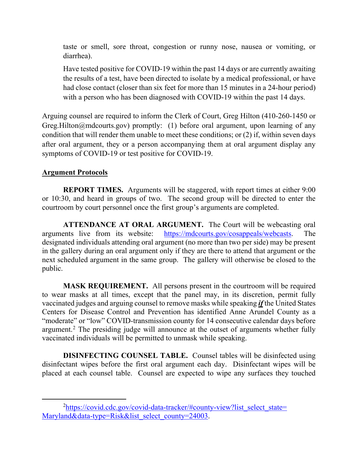taste or smell, sore throat, congestion or runny nose, nausea or vomiting, or diarrhea).

Have tested positive for COVID-19 within the past 14 days or are currently awaiting the results of a test, have been directed to isolate by a medical professional, or have had close contact (closer than six feet for more than 15 minutes in a 24-hour period) with a person who has been diagnosed with COVID-19 within the past 14 days.

Arguing counsel are required to inform the Clerk of Court, Greg Hilton (410-260-1450 or Greg.Hilton@mdcourts.gov) promptly: (1) before oral argument, upon learning of any condition that will render them unable to meet these conditions; or (2) if, within seven days after oral argument, they or a person accompanying them at oral argument display any symptoms of COVID-19 or test positive for COVID-19.

### **Argument Protocols**

**REPORT TIMES.** Arguments will be staggered, with report times at either 9:00 or 10:30, and heard in groups of two. The second group will be directed to enter the courtroom by court personnel once the first group's arguments are completed.

**ATTENDANCE AT ORAL ARGUMENT.** The Court will be webcasting oral arguments live from its website: [https://mdcourts.gov/cosappeals/webcasts.](https://mdcourts.gov/cosappeals/webcasts) The designated individuals attending oral argument (no more than two per side) may be present in the gallery during an oral argument only if they are there to attend that argument or the next scheduled argument in the same group. The gallery will otherwise be closed to the public.

**MASK REQUIREMENT.** All persons present in the courtroom will be required to wear masks at all times, except that the panel may, in its discretion, permit fully vaccinated judges and arguing counsel to remove masks while speaking *if* the United States Centers for Disease Control and Prevention has identified Anne Arundel County as a "moderate" or "low" COVID-transmission county for 14 consecutive calendar days before argument.<sup>[2](#page-2-0)</sup> The presiding judge will announce at the outset of arguments whether fully vaccinated individuals will be permitted to unmask while speaking.

**DISINFECTING COUNSEL TABLE.** Counsel tables will be disinfected using disinfectant wipes before the first oral argument each day. Disinfectant wipes will be placed at each counsel table. Counsel are expected to wipe any surfaces they touched

<span id="page-2-0"></span><sup>&</sup>lt;sup>2</sup>[https://covid.cdc.gov/covid-data-tracker/#county-view?list\\_select\\_state=](https://covid.cdc.gov/covid-data-tracker/#county-view?list_select_%E2%80%8Cstate=%E2%80%8CMaryland&data-type=Risk&list_select_county=24003) [Maryland&data-type=Risk&list\\_select\\_county=24003.](https://covid.cdc.gov/covid-data-tracker/#county-view?list_select_%E2%80%8Cstate=%E2%80%8CMaryland&data-type=Risk&list_select_county=24003)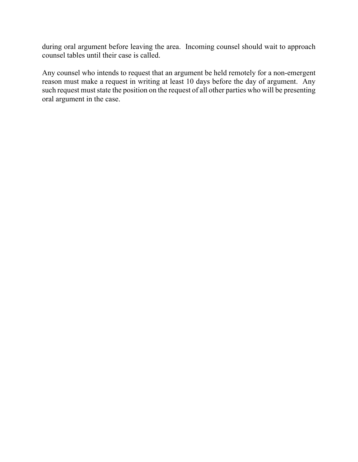during oral argument before leaving the area. Incoming counsel should wait to approach counsel tables until their case is called.

Any counsel who intends to request that an argument be held remotely for a non-emergent reason must make a request in writing at least 10 days before the day of argument. Any such request must state the position on the request of all other parties who will be presenting oral argument in the case.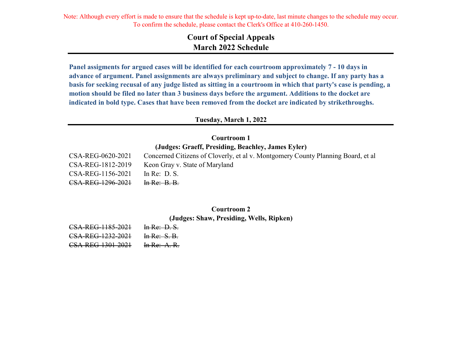Note: Although every effort is made to ensure that the schedule is kept up-to-date, last minute changes to the schedule may occur. To confirm the schedule, please contact the Clerk's Office at 410-260-1450.

# **Court of Special Appeals March 2022 Schedule**

**Panel assigments for argued cases will be identified for each courtroom approximately 7 - 10 days in advance of argument. Panel assignments are always preliminary and subject to change. If any party has a basis for seeking recusal of any judge listed as sitting in a courtroom in which that party's case is pending, a motion should be filed no later than 3 business days before the argument. Additions to the docket are indicated in bold type. Cases that have been removed from the docket are indicated by strikethroughs.**

#### **Tuesday, March 1, 2022**

### **Courtroom 1 (Judges: Graeff, Presiding, Beachley, James Eyler)**

| CSA-REG-0620-2021 | Concerned Citizens of Cloverly, et al v. Montgomery County Planning Board, et al |
|-------------------|----------------------------------------------------------------------------------|
| CSA-REG-1812-2019 | Keon Gray v. State of Maryland                                                   |
| CSA-REG-1156-2021 | In Re: $D.S.$                                                                    |
| CSA-REG-1296-2021 | In Re: B. B.                                                                     |

# **Courtroom 2**

**(Judges: Shaw, Presiding, Wells, Ripken)**

| CSA-REG-1185-2021 | In Re: D. S.    |
|-------------------|-----------------|
| CSA-REG-1232-2021 | In Re: $S. B.$  |
| CSA-REG-1301-2021 | In Re: $A$ . R. |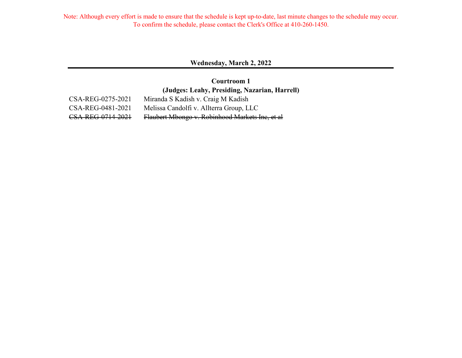Note: Although every effort is made to ensure that the schedule is kept up-to-date, last minute changes to the schedule may occur. To confirm the schedule, please contact the Clerk's Office at 410-260-1450.

#### **Wednesday, March 2, 2022**

**(Judges: Leahy, Presiding, Nazarian, Harrell) Courtroom 1**

CSA-REG-0275-2021 Miranda S Kadish v. Craig M Kadish CSA-REG-0481-2021 Melissa Candolfi v. Allterra Group, LLC CSA-REG-0714-2021 Flaubert Mbongo v. Robinhood Markets Inc, et al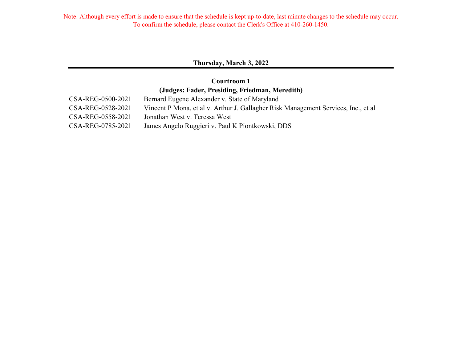### **Thursday, March 3, 2022**

### **Courtroom 1 (Judges: Fader, Presiding, Friedman, Meredith)**

| CSA-REG-0500-2021 | Bernard Eugene Alexander v. State of Maryland                                      |
|-------------------|------------------------------------------------------------------------------------|
| CSA-REG-0528-2021 | Vincent P Mona, et al v. Arthur J. Gallagher Risk Management Services, Inc., et al |
| CSA-REG-0558-2021 | Jonathan West v. Teressa West                                                      |
| CSA-REG-0785-2021 | James Angelo Ruggieri v. Paul K Piontkowski, DDS                                   |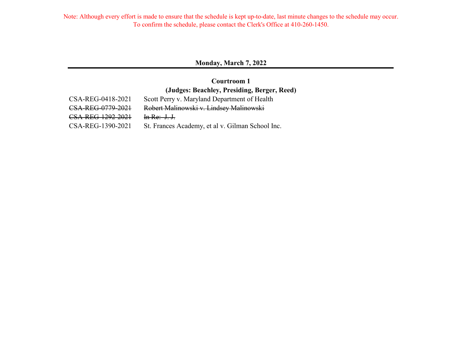#### **Monday, March 7, 2022**

# **Courtroom 1 (Judges: Beachley, Presiding, Berger, Reed)**

| CSA-REG-0418-2021 | Scott Perry v. Maryland Department of Health     |
|-------------------|--------------------------------------------------|
| CSA-REG-0779-2021 | Robert Malinowski v. Lindsey Malinowski          |
| CSA-REG-1292-2021 | In Re: $J, J$ .                                  |
| CSA-REG-1390-2021 | St. Frances Academy, et al v. Gilman School Inc. |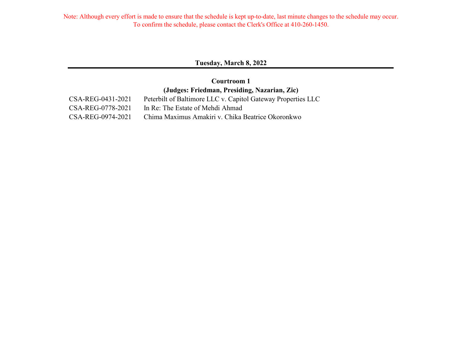#### **Tuesday, March 8, 2022**

### **Courtroom 1 (Judges: Friedman, Presiding, Nazarian, Zic)**

CSA-REG-0431-2021 Peterbilt of Baltimore LLC v. Capitol Gateway Properties LLC CSA-REG-0778-2021 In Re: The Estate of Mehdi Ahmad CSA-REG-0974-2021 Chima Maximus Amakiri v. Chika Beatrice Okoronkwo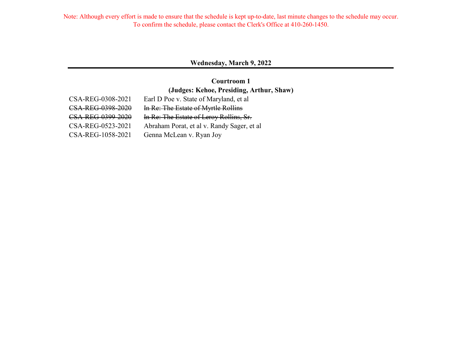#### **Wednesday, March 9, 2022**

### **Courtroom 1 (Judges: Kehoe, Presiding, Arthur, Shaw)**

| CSA-REG-0308-2021 | Earl D Poe v. State of Maryland, et al     |
|-------------------|--------------------------------------------|
| CSA-REG-0398-2020 | In Re: The Estate of Myrtle Rollins        |
| CSA-REG-0399-2020 | In Re: The Estate of Leroy Rollins, Sr.    |
| CSA-REG-0523-2021 | Abraham Porat, et al v. Randy Sager, et al |
| CSA-REG-1058-2021 | Genna McLean v. Ryan Joy                   |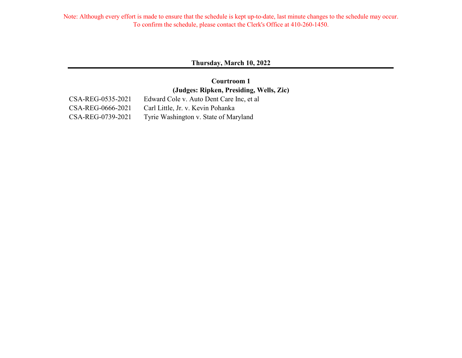#### **Thursday, March 10, 2022**

# **Courtroom 1 (Judges: Ripken, Presiding, Wells, Zic)**

CSA-REG-0535-2021 Edward Cole v. Auto Dent Care Inc, et al

CSA-REG-0666-2021 Carl Little, Jr. v. Kevin Pohanka CSA-REG-0739-2021 Tyrie Washington v. State of Maryland